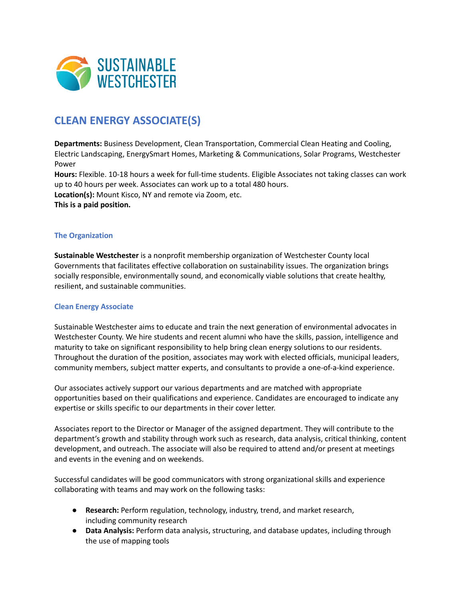

# **CLEAN ENERGY ASSOCIATE(S)**

**Departments:** Business Development, Clean Transportation, Commercial Clean Heating and Cooling, Electric Landscaping, EnergySmart Homes, Marketing & Communications, Solar Programs, Westchester Power

**Hours:** Flexible. 10-18 hours a week for full-time students. Eligible Associates not taking classes can work up to 40 hours per week. Associates can work up to a total 480 hours. **Location(s):** Mount Kisco, NY and remote via Zoom, etc.

**This is a paid position.**

### **The Organization**

**Sustainable Westchester** is a nonprofit membership organization of Westchester County local Governments that facilitates effective collaboration on sustainability issues. The organization brings socially responsible, environmentally sound, and economically viable solutions that create healthy, resilient, and sustainable communities.

### **Clean Energy Associate**

Sustainable Westchester aims to educate and train the next generation of environmental advocates in Westchester County. We hire students and recent alumni who have the skills, passion, intelligence and maturity to take on significant responsibility to help bring clean energy solutions to our residents. Throughout the duration of the position, associates may work with elected officials, municipal leaders, community members, subject matter experts, and consultants to provide a one-of-a-kind experience.

Our associates actively support our various departments and are matched with appropriate opportunities based on their qualifications and experience. Candidates are encouraged to indicate any expertise or skills specific to our departments in their cover letter.

Associates report to the Director or Manager of the assigned department. They will contribute to the department's growth and stability through work such as research, data analysis, critical thinking, content development, and outreach. The associate will also be required to attend and/or present at meetings and events in the evening and on weekends.

Successful candidates will be good communicators with strong organizational skills and experience collaborating with teams and may work on the following tasks:

- **Research:** Perform regulation, technology, industry, trend, and market research, including community research
- **Data Analysis:** Perform data analysis, structuring, and database updates, including through the use of mapping tools